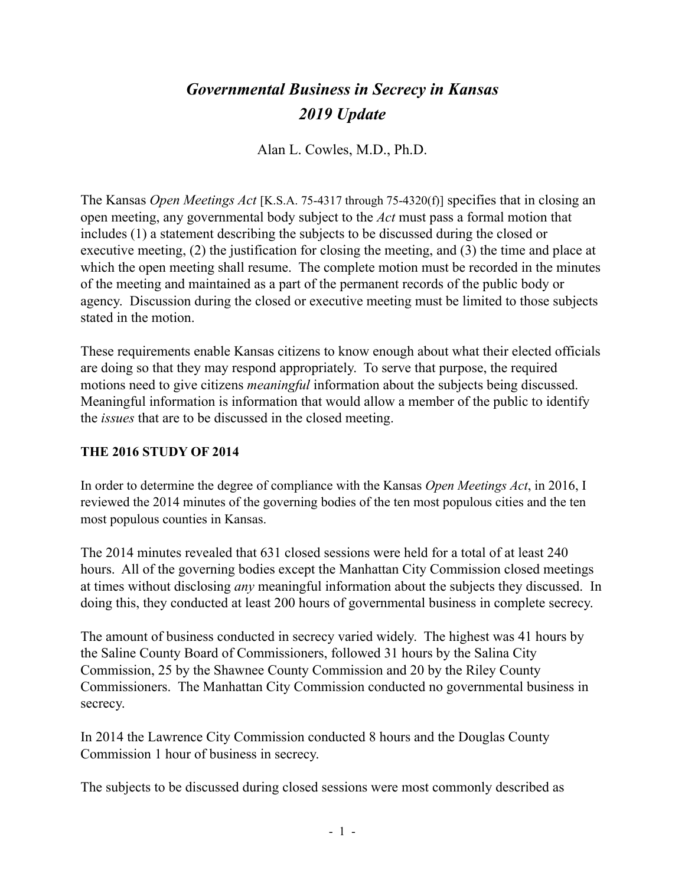# *Governmental Business in Secrecy in Kansas 2019 Update*

Alan L. Cowles, M.D., Ph.D.

The Kansas *Open Meetings Act* [K.S.A. 75-4317 through 75-4320(f)] specifies that in closing an open meeting, any governmental body subject to the *Act* must pass a formal motion that includes (1) a statement describing the subjects to be discussed during the closed or executive meeting, (2) the justification for closing the meeting, and (3) the time and place at which the open meeting shall resume. The complete motion must be recorded in the minutes of the meeting and maintained as a part of the permanent records of the public body or agency. Discussion during the closed or executive meeting must be limited to those subjects stated in the motion.

These requirements enable Kansas citizens to know enough about what their elected officials are doing so that they may respond appropriately. To serve that purpose, the required motions need to give citizens *meaningful* information about the subjects being discussed. Meaningful information is information that would allow a member of the public to identify the *issues* that are to be discussed in the closed meeting.

#### **THE 2016 STUDY OF 2014**

In order to determine the degree of compliance with the Kansas *Open Meetings Act*, in 2016, I reviewed the 2014 minutes of the governing bodies of the ten most populous cities and the ten most populous counties in Kansas.

The 2014 minutes revealed that 631 closed sessions were held for a total of at least 240 hours. All of the governing bodies except the Manhattan City Commission closed meetings at times without disclosing *any* meaningful information about the subjects they discussed. In doing this, they conducted at least 200 hours of governmental business in complete secrecy.

The amount of business conducted in secrecy varied widely. The highest was 41 hours by the Saline County Board of Commissioners, followed 31 hours by the Salina City Commission, 25 by the Shawnee County Commission and 20 by the Riley County Commissioners. The Manhattan City Commission conducted no governmental business in secrecy.

In 2014 the Lawrence City Commission conducted 8 hours and the Douglas County Commission 1 hour of business in secrecy.

The subjects to be discussed during closed sessions were most commonly described as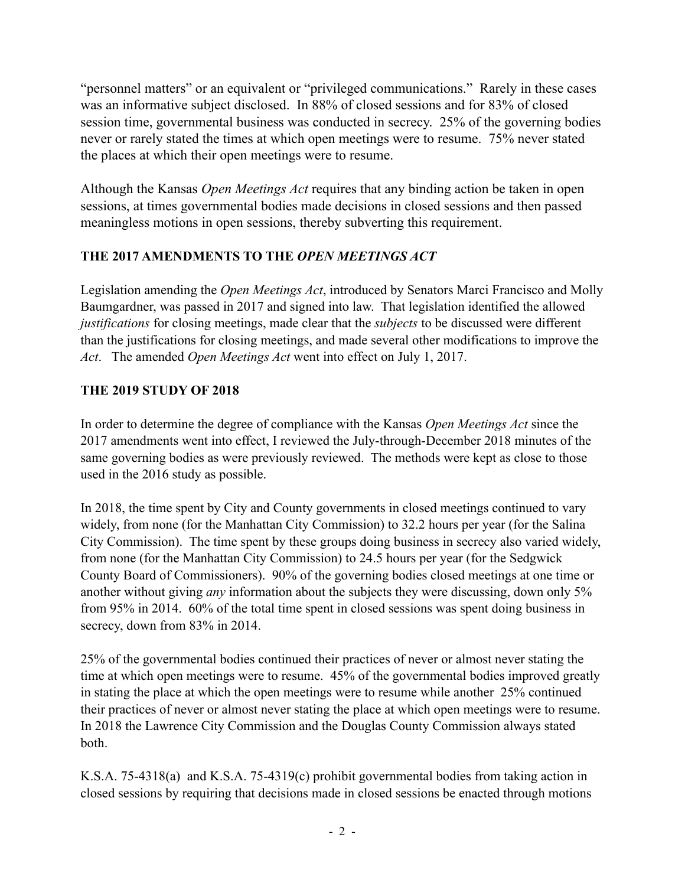"personnel matters" or an equivalent or "privileged communications." Rarely in these cases was an informative subject disclosed. In 88% of closed sessions and for 83% of closed session time, governmental business was conducted in secrecy. 25% of the governing bodies never or rarely stated the times at which open meetings were to resume. 75% never stated the places at which their open meetings were to resume.

Although the Kansas *Open Meetings Act* requires that any binding action be taken in open sessions, at times governmental bodies made decisions in closed sessions and then passed meaningless motions in open sessions, thereby subverting this requirement.

## **THE 2017 AMENDMENTS TO THE** *OPEN MEETINGS ACT*

Legislation amending the *Open Meetings Act*, introduced by Senators Marci Francisco and Molly Baumgardner, was passed in 2017 and signed into law. That legislation identified the allowed *justifications* for closing meetings, made clear that the *subjects* to be discussed were different than the justifications for closing meetings, and made several other modifications to improve the *Act*. The amended *Open Meetings Act* went into effect on July 1, 2017.

## **THE 2019 STUDY OF 2018**

In order to determine the degree of compliance with the Kansas *Open Meetings Act* since the 2017 amendments went into effect, I reviewed the July-through-December 2018 minutes of the same governing bodies as were previously reviewed. The methods were kept as close to those used in the 2016 study as possible.

In 2018, the time spent by City and County governments in closed meetings continued to vary widely, from none (for the Manhattan City Commission) to 32.2 hours per year (for the Salina City Commission). The time spent by these groups doing business in secrecy also varied widely, from none (for the Manhattan City Commission) to 24.5 hours per year (for the Sedgwick County Board of Commissioners). 90% of the governing bodies closed meetings at one time or another without giving *any* information about the subjects they were discussing, down only 5% from 95% in 2014. 60% of the total time spent in closed sessions was spent doing business in secrecy, down from 83% in 2014.

25% of the governmental bodies continued their practices of never or almost never stating the time at which open meetings were to resume. 45% of the governmental bodies improved greatly in stating the place at which the open meetings were to resume while another 25% continued their practices of never or almost never stating the place at which open meetings were to resume. In 2018 the Lawrence City Commission and the Douglas County Commission always stated both.

K.S.A. 75-4318(a) and K.S.A. 75-4319(c) prohibit governmental bodies from taking action in closed sessions by requiring that decisions made in closed sessions be enacted through motions